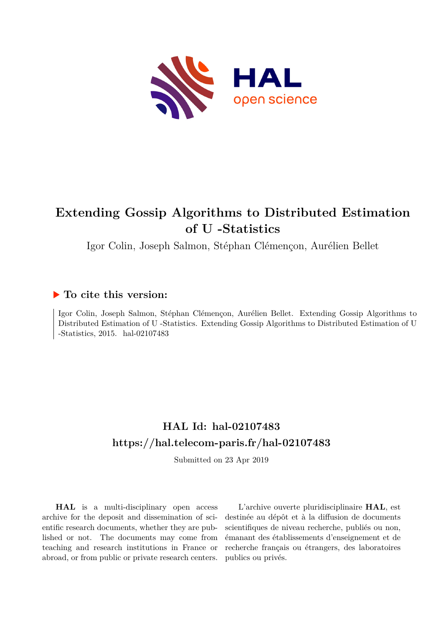

# **Extending Gossip Algorithms to Distributed Estimation of U -Statistics**

Igor Colin, Joseph Salmon, Stéphan Clémençon, Aurélien Bellet

## **To cite this version:**

Igor Colin, Joseph Salmon, Stéphan Clémençon, Aurélien Bellet. Extending Gossip Algorithms to Distributed Estimation of U -Statistics. Extending Gossip Algorithms to Distributed Estimation of U  $-Statistics, 2015.$  hal-02107483

# **HAL Id: hal-02107483 <https://hal.telecom-paris.fr/hal-02107483>**

Submitted on 23 Apr 2019

**HAL** is a multi-disciplinary open access archive for the deposit and dissemination of scientific research documents, whether they are published or not. The documents may come from teaching and research institutions in France or abroad, or from public or private research centers.

L'archive ouverte pluridisciplinaire **HAL**, est destinée au dépôt et à la diffusion de documents scientifiques de niveau recherche, publiés ou non, émanant des établissements d'enseignement et de recherche français ou étrangers, des laboratoires publics ou privés.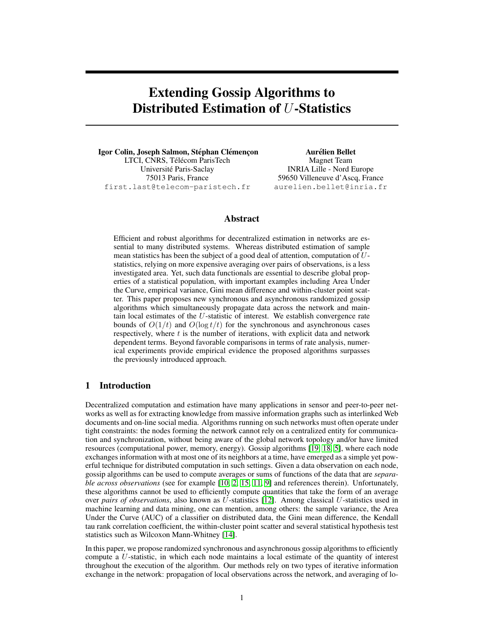## Extending Gossip Algorithms to Distributed Estimation of U-Statistics

Igor Colin, Joseph Salmon, Stéphan Clémençon LTCI, CNRS, Télécom ParisTech Universite Paris-Saclay ´ 75013 Paris, France first.last@telecom-paristech.fr

Aurélien Bellet Magnet Team INRIA Lille - Nord Europe 59650 Villeneuve d'Ascq, France aurelien.bellet@inria.fr

## Abstract

Efficient and robust algorithms for decentralized estimation in networks are essential to many distributed systems. Whereas distributed estimation of sample mean statistics has been the subject of a good deal of attention, computation of Ustatistics, relying on more expensive averaging over pairs of observations, is a less investigated area. Yet, such data functionals are essential to describe global properties of a statistical population, with important examples including Area Under the Curve, empirical variance, Gini mean difference and within-cluster point scatter. This paper proposes new synchronous and asynchronous randomized gossip algorithms which simultaneously propagate data across the network and maintain local estimates of the U-statistic of interest. We establish convergence rate bounds of  $O(1/t)$  and  $O(\log t/t)$  for the synchronous and asynchronous cases respectively, where  $t$  is the number of iterations, with explicit data and network dependent terms. Beyond favorable comparisons in terms of rate analysis, numerical experiments provide empirical evidence the proposed algorithms surpasses the previously introduced approach.

## 1 Introduction

Decentralized computation and estimation have many applications in sensor and peer-to-peer networks as well as for extracting knowledge from massive information graphs such as interlinked Web documents and on-line social media. Algorithms running on such networks must often operate under tight constraints: the nodes forming the network cannot rely on a centralized entity for communication and synchronization, without being aware of the global network topology and/or have limited resources (computational power, memory, energy). Gossip algorithms [19, 18, 5], where each node exchanges information with at most one of its neighbors at a time, have emerged as a simple yet powerful technique for distributed computation in such settings. Given a data observation on each node, gossip algorithms can be used to compute averages or sums of functions of the data that are *separable across observations* (see for example [10, 2, 15, 11, 9] and references therein). Unfortunately, these algorithms cannot be used to efficiently compute quantities that take the form of an average over *pairs of observations*, also known as U-statistics [12]. Among classical U-statistics used in machine learning and data mining, one can mention, among others: the sample variance, the Area Under the Curve (AUC) of a classifier on distributed data, the Gini mean difference, the Kendall tau rank correlation coefficient, the within-cluster point scatter and several statistical hypothesis test statistics such as Wilcoxon Mann-Whitney [14].

In this paper, we propose randomized synchronous and asynchronous gossip algorithms to efficiently compute a U-statistic, in which each node maintains a local estimate of the quantity of interest throughout the execution of the algorithm. Our methods rely on two types of iterative information exchange in the network: propagation of local observations across the network, and averaging of lo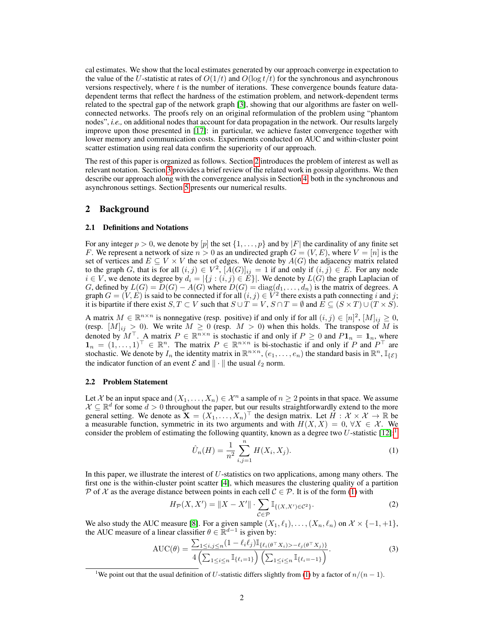cal estimates. We show that the local estimates generated by our approach converge in expectation to the value of the U-statistic at rates of  $O(1/t)$  and  $O(\log t/t)$  for the synchronous and asynchronous versions respectively, where t is the number of iterations. These convergence bounds feature datadependent terms that reflect the hardness of the estimation problem, and network-dependent terms related to the spectral gap of the network graph [3], showing that our algorithms are faster on wellconnected networks. The proofs rely on an original reformulation of the problem using "phantom nodes", *i.e.,* on additional nodes that account for data propagation in the network. Our results largely improve upon those presented in [17]: in particular, we achieve faster convergence together with lower memory and communication costs. Experiments conducted on AUC and within-cluster point scatter estimation using real data confirm the superiority of our approach.

The rest of this paper is organized as follows. Section 2 introduces the problem of interest as well as relevant notation. Section 3 provides a brief review of the related work in gossip algorithms. We then describe our approach along with the convergence analysis in Section 4, both in the synchronous and asynchronous settings. Section 5 presents our numerical results.

## 2 Background

#### 2.1 Definitions and Notations

For any integer  $p > 0$ , we denote by  $[p]$  the set  $\{1, \ldots, p\}$  and by  $|F|$  the cardinality of any finite set F. We represent a network of size  $n > 0$  as an undirected graph  $G = (V, E)$ , where  $V = [n]$  is the set of vertices and  $E \subseteq V \times V$  the set of edges. We denote by  $A(G)$  the adjacency matrix related to the graph G, that is for all  $(i, j) \in V^2$ ,  $[A(G)]_{ij} = 1$  if and only if  $(i, j) \in E$ . For any node  $i \in V$ , we denote its degree by  $d_i = |\{j : (i, j) \in E\}|$ . We denote by  $L(G)$  the graph Laplacian of G, defined by  $L(G) = D(G) - A(G)$  where  $D(G) = diag(d_1, \ldots, d_n)$  is the matrix of degrees. A graph  $G = (V, E)$  is said to be connected if for all  $(i, j) \in V^2$  there exists a path connecting i and j; it is bipartite if there exist  $S, T \subset V$  such that  $S \cup T = V$ ,  $S \cap T = \emptyset$  and  $E \subseteq (S \times T) \cup (T \times S)$ .

A matrix  $M \in \mathbb{R}^{n \times n}$  is nonnegative (resp. positive) if and only if for all  $(i, j) \in [n]^2$ ,  $[M]_{ij} \ge 0$ , (resp.  $[M]_{ij} > 0$ ). We write  $M \geq 0$  (resp.  $M > 0$ ) when this holds. The transpose of M is denoted by  $M^{\top}$ . A matrix  $P \in \mathbb{R}^{n \times n}$  is stochastic if and only if  $P \ge 0$  and  $P\mathbf{1}_n = \mathbf{1}_n$ , where  $\mathbf{1}_n = (1, \ldots, 1)^\top \in \mathbb{R}^n$ . The matrix  $P \in \mathbb{R}^{n \times n}$  is bi-stochastic if and only if P and  $P^\top$  are stochastic. We denote by  $I_n$  the identity matrix in  $\mathbb{R}^{n \times n}$ ,  $(e_1, \ldots, e_n)$  the standard basis in  $\mathbb{R}^n$ ,  $\mathbb{I}_{\{\mathcal{E}\}}$ the indicator function of an event  $\mathcal E$  and  $\|\cdot\|$  the usual  $\ell_2$  norm.

#### 2.2 Problem Statement

Let X be an input space and  $(X_1, \ldots, X_n) \in \mathcal{X}^n$  a sample of  $n \geq 2$  points in that space. We assume  $\mathcal{X} \subseteq \mathbb{R}^d$  for some  $d > 0$  throughout the paper, but our results straightforwardly extend to the more general setting. We denote as  $\mathbf{X} = (X_1, \dots, X_n)^\top$  the design matrix. Let  $\check{H}: \mathcal{X} \times \mathcal{X} \to \mathbb{R}$  be a measurable function, symmetric in its two arguments and with  $H(X, X) = 0, \forall X \in \mathcal{X}$ . We consider the problem of estimating the following quantity, known as a degree two U-statistic  $[12]$ :<sup>1</sup>

$$
\hat{U}_n(H) = \frac{1}{n^2} \sum_{i,j=1}^n H(X_i, X_j).
$$
\n(1)

In this paper, we illustrate the interest of U-statistics on two applications, among many others. The first one is the within-cluster point scatter [4], which measures the clustering quality of a partition P of X as the average distance between points in each cell  $C \in \mathcal{P}$ . It is of the form (1) with

$$
H_{\mathcal{P}}(X, X') = \|X - X'\| \cdot \sum_{\mathcal{C} \in \mathcal{P}} \mathbb{I}_{\{(X, X') \in \mathcal{C}^2\}}.
$$
 (2)

We also study the AUC measure [8]. For a given sample  $(X_1, \ell_1), \ldots, (X_n, \ell_n)$  on  $\mathcal{X} \times \{-1, +1\}$ , the AUC measure of a linear classifier  $\theta \in \mathbb{R}^{d-1}$  is given by:

$$
AUC(\theta) = \frac{\sum_{1 \le i,j \le n} (1 - \ell_i \ell_j) \mathbb{I}_{\{\ell_i(\theta^{\top} X_i) > -\ell_j(\theta^{\top} X_j)\}}}{4 \left( \sum_{1 \le i \le n} \mathbb{I}_{\{\ell_i = 1\}} \right) \left( \sum_{1 \le i \le n} \mathbb{I}_{\{\ell_i = -1\}} \right)}.
$$
\n
$$
(3)
$$

<sup>&</sup>lt;sup>1</sup>We point out that the usual definition of U-statistic differs slightly from (1) by a factor of  $n/(n-1)$ .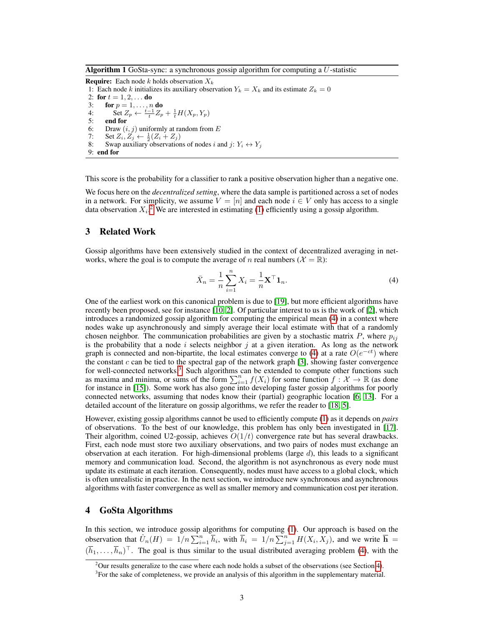Algorithm 1 GoSta-sync: a synchronous gossip algorithm for computing a  $U$ -statistic

**Require:** Each node k holds observation  $X_k$ 

1: Each node k initializes its auxiliary observation  $Y_k = X_k$  and its estimate  $Z_k = 0$ 

2: for  $t = 1, 2, ...$  do 3: **for**  $p = 1, ..., n$  **do** 4: Set  $Z_p \leftarrow \frac{i-1}{t} Z_p + \frac{1}{t} H(X_p, Y_p)$ 5: end for 6: Draw  $(i, j)$  uniformly at random from E<br>7: Set  $Z_i, Z_i \leftarrow \frac{1}{2}(Z_i + Z_i)$ 7: Set  $Z_i, Z_j \leftarrow \frac{1}{2}(Z_i + Z_j)$ 8: Swap auxiliary observations of nodes i and j:  $Y_i \leftrightarrow Y_j$ 9: end for

This score is the probability for a classifier to rank a positive observation higher than a negative one.

We focus here on the *decentralized setting*, where the data sample is partitioned across a set of nodes in a network. For simplicity, we assume  $V = [n]$  and each node  $i \in V$  only has access to a single data observation  $X_i$ .<sup>2</sup> We are interested in estimating (1) efficiently using a gossip algorithm.

### 3 Related Work

Gossip algorithms have been extensively studied in the context of decentralized averaging in networks, where the goal is to compute the average of n real numbers ( $\mathcal{X} = \mathbb{R}$ ):

$$
\bar{X}_n = \frac{1}{n} \sum_{i=1}^n X_i = \frac{1}{n} \mathbf{X}^\top \mathbf{1}_n.
$$
 (4)

One of the earliest work on this canonical problem is due to [19], but more efficient algorithms have recently been proposed, see for instance [10, 2]. Of particular interest to us is the work of [2], which introduces a randomized gossip algorithm for computing the empirical mean (4) in a context where nodes wake up asynchronously and simply average their local estimate with that of a randomly chosen neighbor. The communication probabilities are given by a stochastic matrix  $P$ , where  $p_{ij}$ is the probability that a node i selects neighbor j at a given iteration. As long as the network graph is connected and non-bipartite, the local estimates converge to (4) at a rate  $O(e^{-ct})$  where the constant  $c$  can be tied to the spectral gap of the network graph [3], showing faster convergence for well-connected networks.<sup>3</sup> Such algorithms can be extended to compute other functions such as maxima and minima, or sums of the form  $\sum_{i=1}^{n} f(X_i)$  for some function  $f : \mathcal{X} \to \mathbb{R}$  (as done for instance in [15]). Some work has also gone into developing faster gossip algorithms for poorly connected networks, assuming that nodes know their (partial) geographic location [6, 13]. For a detailed account of the literature on gossip algorithms, we refer the reader to [18, 5].

However, existing gossip algorithms cannot be used to efficiently compute (1) as it depends on *pairs* of observations. To the best of our knowledge, this problem has only been investigated in [17]. Their algorithm, coined U2-gossip, achieves  $O(1/t)$  convergence rate but has several drawbacks. First, each node must store two auxiliary observations, and two pairs of nodes must exchange an observation at each iteration. For high-dimensional problems (large  $d$ ), this leads to a significant memory and communication load. Second, the algorithm is not asynchronous as every node must update its estimate at each iteration. Consequently, nodes must have access to a global clock, which is often unrealistic in practice. In the next section, we introduce new synchronous and asynchronous algorithms with faster convergence as well as smaller memory and communication cost per iteration.

#### 4 GoSta Algorithms

In this section, we introduce gossip algorithms for computing (1). Our approach is based on the observation that  $\hat{U}_n(H) = 1/n \sum_{i=1}^n \overline{h}_i$ , with  $\overline{h}_i = 1/n \sum_{j=1}^n H(X_i, X_j)$ , and we write  $\overline{\mathbf{h}} =$  $(\overline{h}_1,\ldots,\overline{h}_n)^\top$ . The goal is thus similar to the usual distributed averaging problem (4), with the

<sup>&</sup>lt;sup>2</sup>Our results generalize to the case where each node holds a subset of the observations (see Section 4).

 $3$ For the sake of completeness, we provide an analysis of this algorithm in the supplementary material.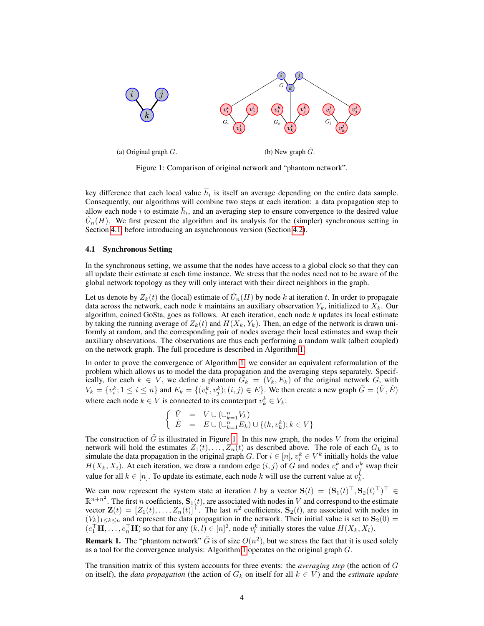

Figure 1: Comparison of original network and "phantom network".

key difference that each local value  $h_i$  is itself an average depending on the entire data sample. Consequently, our algorithms will combine two steps at each iteration: a data propagation step to allow each node  $i$  to estimate  $h_i$ , and an averaging step to ensure convergence to the desired value  $\hat{U}_n(H)$ . We first present the algorithm and its analysis for the (simpler) synchronous setting in Section 4.1, before introducing an asynchronous version (Section 4.2).

#### 4.1 Synchronous Setting

In the synchronous setting, we assume that the nodes have access to a global clock so that they can all update their estimate at each time instance. We stress that the nodes need not to be aware of the global network topology as they will only interact with their direct neighbors in the graph.

Let us denote by  $Z_k(t)$  the (local) estimate of  $\hat{U}_n(H)$  by node k at iteration t. In order to propagate data across the network, each node k maintains an auxiliary observation  $Y_k$ , initialized to  $X_k$ . Our algorithm, coined GoSta, goes as follows. At each iteration, each node  $k$  updates its local estimate by taking the running average of  $Z_k(t)$  and  $H(X_k, Y_k)$ . Then, an edge of the network is drawn uniformly at random, and the corresponding pair of nodes average their local estimates and swap their auxiliary observations. The observations are thus each performing a random walk (albeit coupled) on the network graph. The full procedure is described in Algorithm 1.

In order to prove the convergence of Algorithm 1, we consider an equivalent reformulation of the problem which allows us to model the data propagation and the averaging steps separately. Specifically, for each  $k \in V$ , we define a phantom  $G_k = (V_k, E_k)$  of the original network G, with  $V_k = \{v_i^k; 1 \le i \le n\}$  and  $E_k = \{(v_i^k, v_j^k); (i, j) \in E\}$ . We then create a new graph  $\tilde{G} = (\tilde{V}, \tilde{E})$ where each node  $k \in V$  is connected to its counterpart  $v_k^k \in V_k$ :

$$
\left\{ \begin{array}{rcl} \tilde{V} & = & V \cup (\cup_{k=1}^n V_k) \\ \tilde{E} & = & E \cup (\cup_{k=1}^n E_k) \cup \{(k,v_k^k); k \in V\} \end{array} \right.
$$

The construction of  $\tilde{G}$  is illustrated in Figure 1. In this new graph, the nodes V from the original network will hold the estimates  $Z_1(t), \ldots, Z_n(t)$  as described above. The role of each  $G_k$  is to simulate the data propagation in the original graph G. For  $i \in [n]$ ,  $v_i^k \in V^k$  initially holds the value  $H(X_k, X_i)$ . At each iteration, we draw a random edge  $(i, j)$  of G and nodes  $v_i^k$  and  $v_j^k$  swap their value for all  $k \in [n]$ . To update its estimate, each node k will use the current value at  $v_k^k$ .

We can now represent the system state at iteration t by a vector  $S(t) = (S_1(t)^{\top}, S_2(t)^{\top})^{\top} \in$  $\mathbb{R}^{n+n^2}$ . The first n coefficients,  $\mathbf{S}_1(t)$ , are associated with nodes in V and correspond to the estimate vector  $\mathbf{Z}(t) = [Z_1(t), \dots, Z_n(t)]^\top$ . The last  $n^2$  coefficients,  $\mathbf{S}_2(t)$ , are associated with nodes in  $(V_k)_{1\leq k\leq n}$  and represent the data propagation in the network. Their initial value is set to  $\mathbf{S}_2(0)$  =  $(e_1^\top \mathbf{H}, \dots, e_n^\top \mathbf{H})$  so that for any  $(k, l) \in [n]^2$ , node  $v_l^k$  initially stores the value  $H(X_k, X_l)$ .

**Remark 1.** The "phantom network"  $\tilde{G}$  is of size  $O(n^2)$ , but we stress the fact that it is used solely as a tool for the convergence analysis: Algorithm 1 operates on the original graph G.

The transition matrix of this system accounts for three events: the *averaging step* (the action of G on itself), the *data propagation* (the action of  $G_k$  on itself for all  $k \in V$ ) and the *estimate update*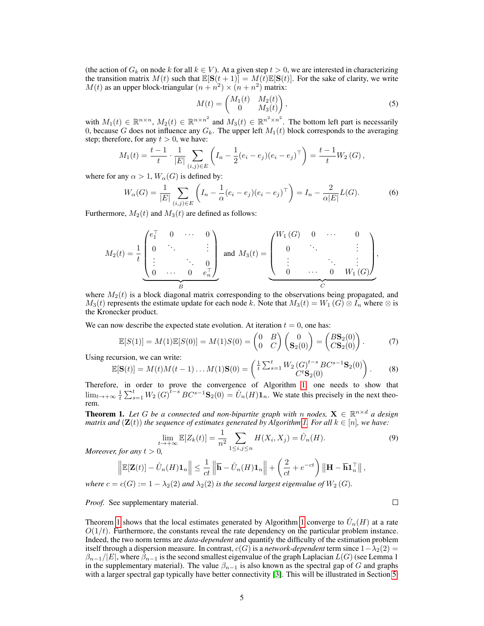(the action of  $G_k$  on node k for all  $k \in V$ ). At a given step  $t > 0$ , we are interested in characterizing the transition matrix  $M(t)$  such that  $\mathbb{E}[\mathbf{S}(t+1)] = M(t)\mathbb{E}[\mathbf{S}(t)]$ . For the sake of clarity, we write  $M(t)$  as an upper block-triangular  $(n + n^2) \times (n + n^2)$  matrix:

$$
M(t) = \begin{pmatrix} M_1(t) & M_2(t) \\ 0 & M_3(t) \end{pmatrix},
$$
\n(5)

with  $M_1(t) \in \mathbb{R}^{n \times n}$ ,  $M_2(t) \in \mathbb{R}^{n \times n^2}$  and  $M_3(t) \in \mathbb{R}^{n^2 \times n^2}$ . The bottom left part is necessarily 0, because G does not influence any  $G_k$ . The upper left  $M_1(t)$  block corresponds to the averaging step; therefore, for any  $t > 0$ , we have:

$$
M_1(t) = \frac{t-1}{t} \cdot \frac{1}{|E|} \sum_{(i,j) \in E} \left( I_n - \frac{1}{2} (e_i - e_j)(e_i - e_j)^\top \right) = \frac{t-1}{t} W_2(G),
$$

where for any  $\alpha > 1$ ,  $W_{\alpha}(G)$  is defined by:

$$
W_{\alpha}(G) = \frac{1}{|E|} \sum_{(i,j)\in E} \left( I_n - \frac{1}{\alpha} (e_i - e_j)(e_i - e_j)^\top \right) = I_n - \frac{2}{\alpha |E|} L(G). \tag{6}
$$

Furthermore,  $M_2(t)$  and  $M_3(t)$  are defined as follows:

$$
M_2(t) = \frac{1}{t} \underbrace{\begin{pmatrix} e_1^{\top} & 0 & \cdots & 0 \\ 0 & \ddots & & \vdots \\ \vdots & & \ddots & 0 \\ 0 & \cdots & 0 & e_n^{\top} \end{pmatrix}}_{B} \text{ and } M_3(t) = \underbrace{\begin{pmatrix} W_1(G) & 0 & \cdots & 0 \\ 0 & \ddots & & \vdots \\ \vdots & & \ddots & \vdots \\ 0 & \cdots & 0 & W_1(G) \end{pmatrix}}_{C},
$$

where  $M_2(t)$  is a block diagonal matrix corresponding to the observations being propagated, and  $M_3(t)$  represents the estimate update for each node k. Note that  $M_3(t) = W_1(G) \otimes I_n$  where  $\otimes$  is the Kronecker product.

We can now describe the expected state evolution. At iteration  $t = 0$ , one has:

$$
\mathbb{E}[S(1)] = M(1)\mathbb{E}[S(0)] = M(1)S(0) = \begin{pmatrix} 0 & B \\ 0 & C \end{pmatrix} \begin{pmatrix} 0 \\ \mathbf{S}_2(0) \end{pmatrix} = \begin{pmatrix} B\mathbf{S}_2(0) \\ C\mathbf{S}_2(0) \end{pmatrix}.
$$
 (7)

Using recursion, we can write:

$$
\mathbb{E}[\mathbf{S}(t)] = M(t)M(t-1)\dots M(1)\mathbf{S}(0) = \begin{pmatrix} \frac{1}{t} \sum_{s=1}^{t} W_2(G)^{t-s} BC^{s-1} \mathbf{S}_2(0) \\ C^t \mathbf{S}_2(0) \end{pmatrix}.
$$
 (8)

Therefore, in order to prove the convergence of Algorithm 1, one needs to show that  $\lim_{t\to+\infty}\frac{1}{t}\sum_{s=1}^tW_2(G)^{t-s}BC^{s-1}\mathbf{S}_2(0)=\hat{U}_n(H)\mathbf{1}_n$ . We state this precisely in the next theorem.

**Theorem 1.** Let G be a connected and non-bipartite graph with n nodes,  $X \in \mathbb{R}^{n \times d}$  a design *matrix and*  $(\mathbf{Z}(t))$  *the sequence of estimates generated by Algorithm 1. For all*  $k \in [n]$ *, we have:* 

$$
\lim_{\substack{t \to +\infty}} \mathbb{E}[Z_k(t)] = \frac{1}{n^2} \sum_{1 \le i,j \le n} H(X_i, X_j) = \hat{U}_n(H). \tag{9}
$$

 $\mathbf{r}$  pt  $\mathbf{r}$  is the property of  $\mathbf{r}$ 

*Moreover, for any*  $t > 0$ *,* 

$$
\left\|\mathbb{E}[\mathbf{Z}(t)] - \hat{U}_n(H)\mathbf{1}_n\right\| \leq \frac{1}{ct} \left\|\overline{\mathbf{h}} - \hat{U}_n(H)\mathbf{1}_n\right\| + \left(\frac{2}{ct} + e^{-ct}\right) \left\|\mathbf{H} - \overline{\mathbf{h}}\mathbf{1}_n^{\top}\right\|,
$$

*where*  $c = c(G) := 1 - \lambda_2(2)$  *and*  $\lambda_2(2)$  *is the second largest eigenvalue of*  $W_2(G)$ *.* 

*Proof.* See supplementary material.

 $\Box$ 

Theorem 1 shows that the local estimates generated by Algorithm 1 converge to  $\hat{U}_n(H)$  at a rate  $O(1/t)$ . Furthermore, the constants reveal the rate dependency on the particular problem instance. Indeed, the two norm terms are *data-dependent* and quantify the difficulty of the estimation problem itself through a dispersion measure. In contrast,  $c(G)$  is a *network-dependent* term since  $1-\lambda_2(2)$  =  $\beta_{n-1}/|E|$ , where  $\beta_{n-1}$  is the second smallest eigenvalue of the graph Laplacian  $L(G)$  (see Lemma 1) in the supplementary material). The value  $\beta_{n-1}$  is also known as the spectral gap of G and graphs with a larger spectral gap typically have better connectivity [3]. This will be illustrated in Section 5.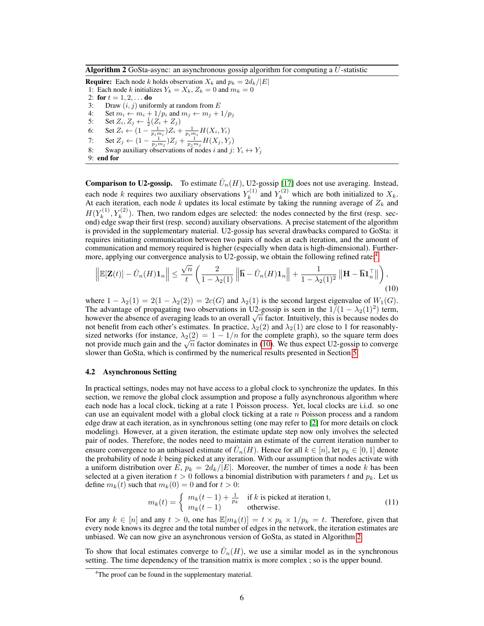Algorithm 2 GoSta-async: an asynchronous gossip algorithm for computing a U-statistic

**Require:** Each node k holds observation  $X_k$  and  $p_k = 2d_k/|E|$ 1: Each node k initializes  $Y_k = X_k$ ,  $Z_k = 0$  and  $m_k = 0$ 2: for  $t = 1, 2, ...$  do 3: Draw  $(i, j)$  uniformly at random from  $E$ 4: Set  $m_i \leftarrow m_i + 1/p_i$  and  $m_j \leftarrow m_j + 1/p_j$ <br>5: Set  $Z_i, Z_j \leftarrow \frac{1}{2}(Z_i + Z_j)$ 5: Set  $Z_i, Z_j \leftarrow \frac{1}{2}(Z_i + Z_j)$ 6: Set  $Z_i \leftarrow (1 - \frac{1}{p_i m_i}) Z_i + \frac{1}{p_i m_i} H(X_i, Y_i)$ 7: Set  $Z_j \leftarrow (1 - \frac{1}{p_j m_j}) Z_j + \frac{1}{p_j m_j} H(X_j, Y_j)$ 

8: Swap auxiliary observations of nodes i and j:  $Y_i \leftrightarrow Y_j$ 

9: end for

**Comparison to U2-gossip.** To estimate  $\hat{U}_n(H)$ , U2-gossip [17] does not use averaging. Instead, each node k requires two auxiliary observations  $Y_k^{(1)}$  $Y_k^{(1)}$  and  $Y_k^{(2)}$  which are both initialized to  $X_k$ . At each iteration, each node k updates its local estimate by taking the running average of  $Z_k$  and  $H(Y_k^{(1)}$  $k_k^{(1)}, Y_k^{(2)}$ ). Then, two random edges are selected: the nodes connected by the first (resp. second) edge swap their first (resp. second) auxiliary observations. A precise statement of the algorithm is provided in the supplementary material. U2-gossip has several drawbacks compared to GoSta: it requires initiating communication between two pairs of nodes at each iteration, and the amount of communication and memory required is higher (especially when data is high-dimensional). Furthermore, applying our convergence analysis to U2-gossip, we obtain the following refined rate:<sup>4</sup>

$$
\left\| \mathbb{E}[\mathbf{Z}(t)] - \hat{U}_n(H) \mathbf{1}_n \right\| \le \frac{\sqrt{n}}{t} \left( \frac{2}{1 - \lambda_2(1)} \left\| \overline{\mathbf{h}} - \hat{U}_n(H) \mathbf{1}_n \right\| + \frac{1}{1 - \lambda_2(1)^2} \left\| \mathbf{H} - \overline{\mathbf{h}} \mathbf{1}_n^{\top} \right\| \right), \tag{10}
$$

where  $1 - \lambda_2(1) = 2(1 - \lambda_2(2)) = 2c(G)$  and  $\lambda_2(1)$  is the second largest eigenvalue of  $W_1(G)$ . The advantage of propagating two observations in U2-gossip is seen in the  $1/(1 - \lambda_2(1)^2)$  term, The advantage of propagating two observations in U2-gossip is seen in the  $1/(1 - \lambda_2(1)^2)$  term,<br>however the absence of averaging leads to an overall  $\sqrt{n}$  factor. Intuitively, this is because nodes do not benefit from each other's estimates. In practice,  $\lambda_2(2)$  and  $\lambda_2(1)$  are close to 1 for reasonablysized networks (for instance,  $\lambda_2(2) = 1 - 1/n$  for the complete graph), so the square term does sized networks (for instance,  $\lambda_2(2) = 1 - 1/n$  for the complete graph), so the square term does not provide much gain and the  $\sqrt{n}$  factor dominates in (10). We thus expect U2-gossip to converge slower than GoSta, which is confirmed by the numerical results presented in Section 5.

#### 4.2 Asynchronous Setting

In practical settings, nodes may not have access to a global clock to synchronize the updates. In this section, we remove the global clock assumption and propose a fully asynchronous algorithm where each node has a local clock, ticking at a rate 1 Poisson process. Yet, local clocks are i.i.d. so one can use an equivalent model with a global clock ticking at a rate  $n$  Poisson process and a random edge draw at each iteration, as in synchronous setting (one may refer to [2] for more details on clock modeling). However, at a given iteration, the estimate update step now only involves the selected pair of nodes. Therefore, the nodes need to maintain an estimate of the current iteration number to ensure convergence to an unbiased estimate of  $\hat{U}_n(H)$ . Hence for all  $k \in [n]$ , let  $p_k \in [0,1]$  denote the probability of node  $k$  being picked at any iteration. With our assumption that nodes activate with a uniform distribution over E,  $p_k = 2d_k/|E|$ . Moreover, the number of times a node k has been selected at a given iteration  $t > 0$  follows a binomial distribution with parameters t and  $p_k$ . Let us define  $m_k(t)$  such that  $m_k(0) = 0$  and for  $t > 0$ :

$$
m_k(t) = \begin{cases} m_k(t-1) + \frac{1}{p_k} & \text{if } k \text{ is picked at iteration t,} \\ m_k(t-1) & \text{otherwise.} \end{cases}
$$
(11)

For any  $k \in [n]$  and any  $t > 0$ , one has  $\mathbb{E}[m_k(t)] = t \times p_k \times 1/p_k = t$ . Therefore, given that every node knows its degree and the total number of edges in the network, the iteration estimates are unbiased. We can now give an asynchronous version of GoSta, as stated in Algorithm 2.

To show that local estimates converge to  $\hat{U}_n(H)$ , we use a similar model as in the synchronous setting. The time dependency of the transition matrix is more complex ; so is the upper bound.

<sup>&</sup>lt;sup>4</sup>The proof can be found in the supplementary material.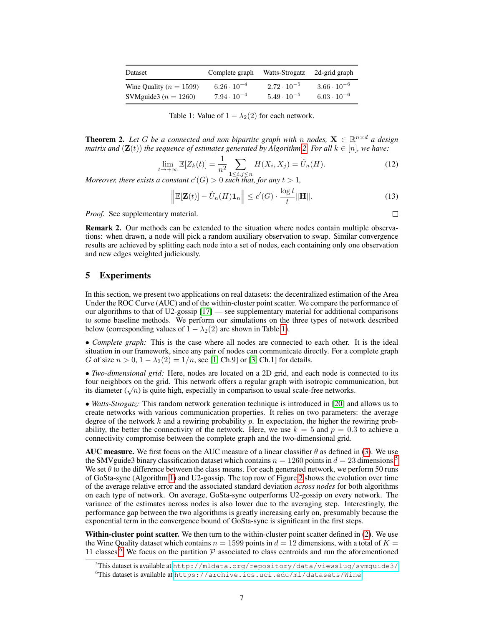| Dataset                     | Complete graph       | Watts-Strogatz       | 2d-grid graph        |
|-----------------------------|----------------------|----------------------|----------------------|
| Wine Quality ( $n = 1599$ ) | $6.26 \cdot 10^{-4}$ | $2.72 \cdot 10^{-5}$ | $3.66 \cdot 10^{-6}$ |
| SVMguide3 ( $n = 1260$ )    | $7.94 \cdot 10^{-4}$ | $5.49 \cdot 10^{-5}$ | $6.03 \cdot 10^{-6}$ |

Table 1: Value of  $1 - \lambda_2(2)$  for each network.

**Theorem 2.** Let G be a connected and non bipartite graph with n nodes,  $X \in \mathbb{R}^{n \times d}$  a design *matrix and*  $(\mathbf{Z}(t))$  *the sequence of estimates generated by Algorithm* 2. *For all*  $k \in [n]$ *, we have:* 

$$
\lim_{t \to +\infty} \mathbb{E}[Z_k(t)] = \frac{1}{n^2} \sum_{1 \le i,j \le n} H(X_i, X_j) = \hat{U}_n(H). \tag{12}
$$

*Moreover, there exists a constant*  $c'(G) > 0$  *such that, for any*  $t > 1$ *,* 

$$
\left\| \mathbb{E}[\mathbf{Z}(t)] - \hat{U}_n(H)\mathbf{1}_n \right\| \le c'(G) \cdot \frac{\log t}{t} \|\mathbf{H}\|.
$$
 (13)

*Proof.* See supplementary material.

Remark 2. Our methods can be extended to the situation where nodes contain multiple observations: when drawn, a node will pick a random auxiliary observation to swap. Similar convergence results are achieved by splitting each node into a set of nodes, each containing only one observation and new edges weighted judiciously.

## 5 Experiments

In this section, we present two applications on real datasets: the decentralized estimation of the Area Under the ROC Curve (AUC) and of the within-cluster point scatter. We compare the performance of our algorithms to that of U2-gossip [17] — see supplementary material for additional comparisons to some baseline methods. We perform our simulations on the three types of network described below (corresponding values of  $1 - \lambda_2(2)$  are shown in Table 1).

• *Complete graph:* This is the case where all nodes are connected to each other. It is the ideal situation in our framework, since any pair of nodes can communicate directly. For a complete graph G of size  $n > 0$ ,  $1 - \lambda_2(2) = 1/n$ , see [1, Ch.9] or [3, Ch.1] for details.

• *Two-dimensional grid:* Here, nodes are located on a 2D grid, and each node is connected to its four neighbors on the grid. This network offers a regular graph with isotropic communication, but four neignbors on the grid. This network offers a regular graph with isotropic commits diameter  $(\sqrt{n})$  is quite high, especially in comparison to usual scale-free networks.

• *Watts-Strogatz:* This random network generation technique is introduced in [20] and allows us to create networks with various communication properties. It relies on two parameters: the average degree of the network  $k$  and a rewiring probability  $p$ . In expectation, the higher the rewiring probability, the better the connectivity of the network. Here, we use  $k = 5$  and  $p = 0.3$  to achieve a connectivity compromise between the complete graph and the two-dimensional grid.

AUC measure. We first focus on the AUC measure of a linear classifier  $\theta$  as defined in (3). We use the SMV guide3 binary classification dataset which contains  $n = 1260$  points in  $d = 23$  dimensions.<sup>5</sup> We set  $\theta$  to the difference between the class means. For each generated network, we perform 50 runs of GoSta-sync (Algorithm 1) and U2-gossip. The top row of Figure 2 shows the evolution over time of the average relative error and the associated standard deviation *across nodes* for both algorithms on each type of network. On average, GoSta-sync outperforms U2-gossip on every network. The variance of the estimates across nodes is also lower due to the averaging step. Interestingly, the performance gap between the two algorithms is greatly increasing early on, presumably because the exponential term in the convergence bound of GoSta-sync is significant in the first steps.

Within-cluster point scatter. We then turn to the within-cluster point scatter defined in (2). We use the Wine Quality dataset which contains  $n = 1599$  points in  $d = 12$  dimensions, with a total of  $K =$ 11 classes.<sup>6</sup> We focus on the partition  $P$  associated to class centroids and run the aforementioned

 $\Box$ 

<sup>5</sup>This dataset is available at <http://mldata.org/repository/data/viewslug/svmguide3/> <sup>6</sup>This dataset is available at <https://archive.ics.uci.edu/ml/datasets/Wine>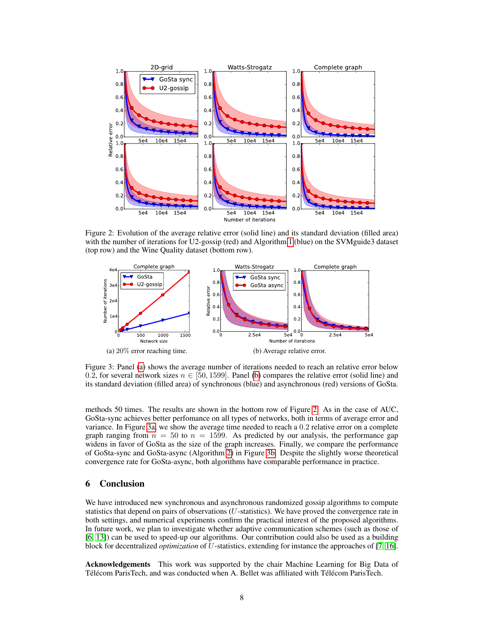

Figure 2: Evolution of the average relative error (solid line) and its standard deviation (filled area) with the number of iterations for U2-gossip (red) and Algorithm 1 (blue) on the SVMguide3 dataset (top row) and the Wine Quality dataset (bottom row).



Figure 3: Panel (a) shows the average number of iterations needed to reach an relative error below 0.2, for several network sizes  $n \in [50, 1599]$ . Panel (b) compares the relative error (solid line) and its standard deviation (filled area) of synchronous (blue) and asynchronous (red) versions of GoSta.

methods 50 times. The results are shown in the bottom row of Figure 2. As in the case of AUC, GoSta-sync achieves better perfomance on all types of networks, both in terms of average error and variance. In Figure 3a, we show the average time needed to reach a 0.2 relative error on a complete graph ranging from  $n = 50$  to  $n = 1599$ . As predicted by our analysis, the performance gap widens in favor of GoSta as the size of the graph increases. Finally, we compare the performance of GoSta-sync and GoSta-async (Algorithm 2) in Figure 3b. Despite the slightly worse theoretical convergence rate for GoSta-async, both algorithms have comparable performance in practice.

## 6 Conclusion

We have introduced new synchronous and asynchronous randomized gossip algorithms to compute statistics that depend on pairs of observations (U-statistics). We have proved the convergence rate in both settings, and numerical experiments confirm the practical interest of the proposed algorithms. In future work, we plan to investigate whether adaptive communication schemes (such as those of [6, 13]) can be used to speed-up our algorithms. Our contribution could also be used as a building block for decentralized *optimization* of U-statistics, extending for instance the approaches of [7, 16].

Acknowledgements This work was supported by the chair Machine Learning for Big Data of Télécom ParisTech, and was conducted when A. Bellet was affiliated with Télécom ParisTech.